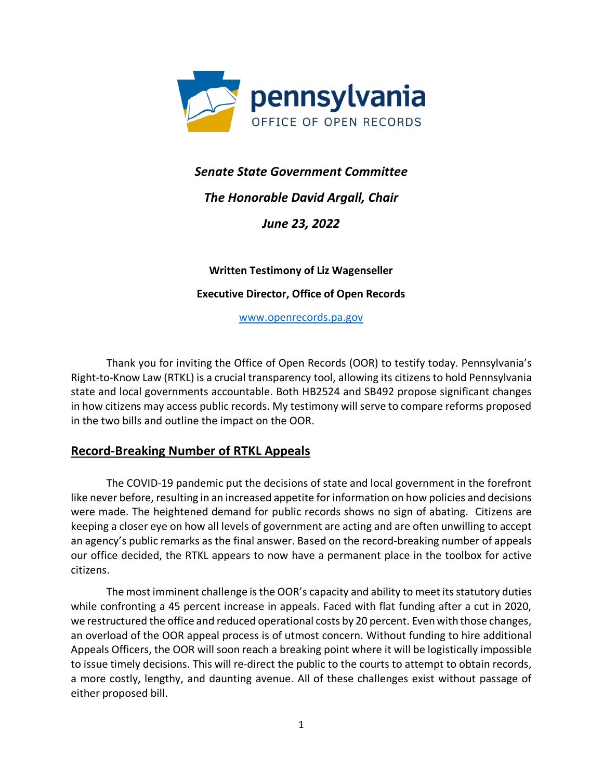

# *Senate State Government Committee*

# *The Honorable David Argall, Chair*

*June 23, 2022*

## **Written Testimony of Liz Wagenseller**

### **Executive Director, Office of Open Records**

[www.openrecords.pa.gov](http://www.openrecords.pa.gov/)

Thank you for inviting the Office of Open Records (OOR) to testify today. Pennsylvania's Right-to-Know Law (RTKL) is a crucial transparency tool, allowing its citizens to hold Pennsylvania state and local governments accountable. Both HB2524 and SB492 propose significant changes in how citizens may access public records. My testimony will serve to compare reforms proposed in the two bills and outline the impact on the OOR.

# **Record-Breaking Number of RTKL Appeals**

The COVID-19 pandemic put the decisions of state and local government in the forefront like never before, resulting in an increased appetite for information on how policies and decisions were made. The heightened demand for public records shows no sign of abating. Citizens are keeping a closer eye on how all levels of government are acting and are often unwilling to accept an agency's public remarks as the final answer. Based on the record-breaking number of appeals our office decided, the RTKL appears to now have a permanent place in the toolbox for active citizens.

The most imminent challenge is the OOR's capacity and ability to meet its statutory duties while confronting a 45 percent increase in appeals. Faced with flat funding after a cut in 2020, we restructured the office and reduced operational costs by 20 percent. Even with those changes, an overload of the OOR appeal process is of utmost concern. Without funding to hire additional Appeals Officers, the OOR will soon reach a breaking point where it will be logistically impossible to issue timely decisions. This will re-direct the public to the courts to attempt to obtain records, a more costly, lengthy, and daunting avenue. All of these challenges exist without passage of either proposed bill.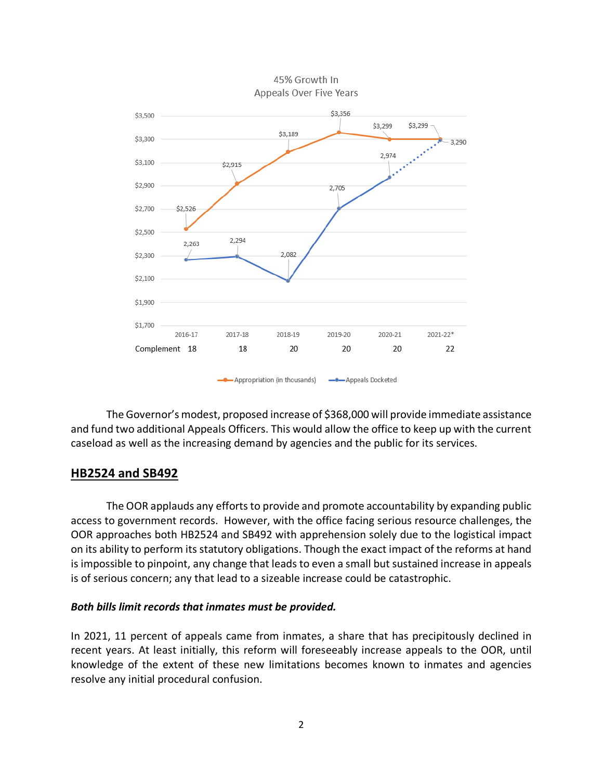

45% Growth In Appeals Over Five Years

The Governor's modest, proposed increase of \$368,000 will provide immediate assistance and fund two additional Appeals Officers. This would allow the office to keep up with the current caseload as well as the increasing demand by agencies and the public for its services.

## **HB2524 and SB492**

The OOR applauds any efforts to provide and promote accountability by expanding public access to government records. However, with the office facing serious resource challenges, the OOR approaches both HB2524 and SB492 with apprehension solely due to the logistical impact on its ability to perform its statutory obligations. Though the exact impact of the reforms at hand is impossible to pinpoint, any change that leads to even a small but sustained increase in appeals is of serious concern; any that lead to a sizeable increase could be catastrophic.

### *Both bills limit records that inmates must be provided.*

In 2021, 11 percent of appeals came from inmates, a share that has precipitously declined in recent years. At least initially, this reform will foreseeably increase appeals to the OOR, until knowledge of the extent of these new limitations becomes known to inmates and agencies resolve any initial procedural confusion.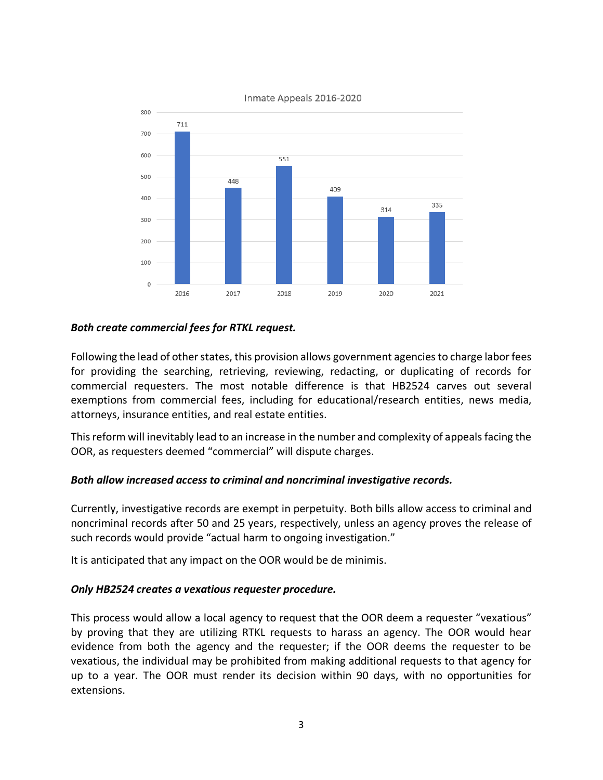

#### Inmate Appeals 2016-2020

### *Both create commercial fees for RTKL request.*

Following the lead of other states, this provision allows government agencies to charge labor fees for providing the searching, retrieving, reviewing, redacting, or duplicating of records for commercial requesters. The most notable difference is that HB2524 carves out several exemptions from commercial fees, including for educational/research entities, news media, attorneys, insurance entities, and real estate entities.

This reform will inevitably lead to an increase in the number and complexity of appeals facing the OOR, as requesters deemed "commercial" will dispute charges.

### *Both allow increased access to criminal and noncriminal investigative records.*

Currently, investigative records are exempt in perpetuity. Both bills allow access to criminal and noncriminal records after 50 and 25 years, respectively, unless an agency proves the release of such records would provide "actual harm to ongoing investigation."

It is anticipated that any impact on the OOR would be de minimis.

### *Only HB2524 creates a vexatious requester procedure.*

This process would allow a local agency to request that the OOR deem a requester "vexatious" by proving that they are utilizing RTKL requests to harass an agency. The OOR would hear evidence from both the agency and the requester; if the OOR deems the requester to be vexatious, the individual may be prohibited from making additional requests to that agency for up to a year. The OOR must render its decision within 90 days, with no opportunities for extensions.